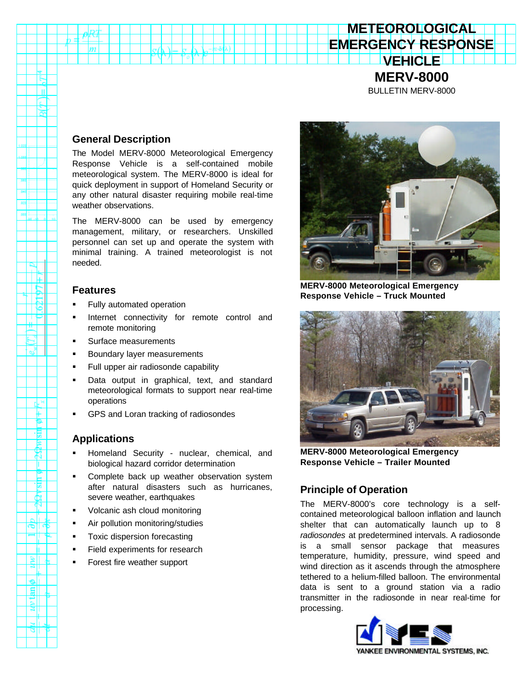# **VEHICLE MERV-8000**

**METEOROLOGICAL EMERGENCY RESPONSE**

BULLETIN MERV-8000

## **General Description**

m

The Model MERV-8000 Meteorological Emergency Response Vehicle is a self-contained mobile meteorological system. The MERV-8000 is ideal for quick deployment in support of Homeland Security or any other natural disaster requiring mobile real-time weather observations.

The MERV-8000 can be used by emergency management, military, or researchers. Unskilled personnel can set up and operate the system with minimal training. A trained meteorologist is not needed.

## **Features**

- ß Fully automated operation
- ß Internet connectivity for remote control and remote monitoring
- ß Surface measurements
- ß Boundary layer measurements
- ß Full upper air radiosonde capability
- ß Data output in graphical, text, and standard meteorological formats to support near real-time operations
- ß GPS and Loran tracking of radiosondes

## **Applications**

惕 E 79 Ш

ħ

ø

q

- ß Homeland Security nuclear, chemical, and biological hazard corridor determination
- ß Complete back up weather observation system after natural disasters such as hurricanes, severe weather, earthquakes
- Volcanic ash cloud monitoring
- ß Air pollution monitoring/studies
- Toxic dispersion forecasting
- Field experiments for research
- ß Forest fire weather support



**MERV-8000 Meteorological Emergency Response Vehicle – Truck Mounted**



**MERV-8000 Meteorological Emergency Response Vehicle – Trailer Mounted**

## **Principle of Operation**

The MERV-8000's core technology is a selfcontained meteorological balloon inflation and launch shelter that can automatically launch up to 8 *radiosondes* at predetermined intervals. A radiosonde is a small sensor package that measures temperature, humidity, pressure, wind speed and wind direction as it ascends through the atmosphere tethered to a helium-filled balloon. The environmental data is sent to a ground station via a radio transmitter in the radiosonde in near real-time for processing.

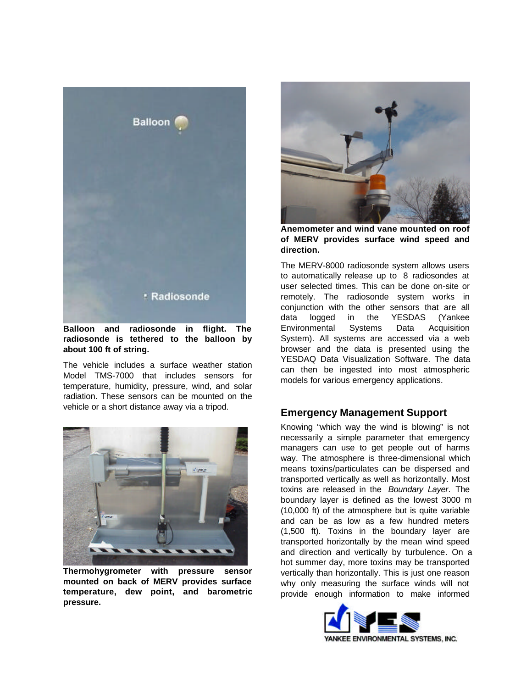

**Balloon and radiosonde in flight. The radiosonde is tethered to the balloon by about 100 ft of string.**

The vehicle includes a surface weather station Model TMS-7000 that includes sensors for temperature, humidity, pressure, wind, and solar radiation. These sensors can be mounted on the vehicle or a short distance away via a tripod.



**Thermohygrometer with pressure sensor mounted on back of MERV provides surface temperature, dew point, and barometric pressure.**



**Anemometer and wind vane mounted on roof of MERV provides surface wind speed and direction.**

The MERV-8000 radiosonde system allows users to automatically release up to 8 radiosondes at user selected times. This can be done on-site or remotely. The radiosonde system works in conjunction with the other sensors that are all data logged in the YESDAS (Yankee Environmental Systems Data Acquisition System). All systems are accessed via a web browser and the data is presented using the YESDAQ Data Visualization Software. The data can then be ingested into most atmospheric models for various emergency applications.

### **Emergency Management Support**

Knowing "which way the wind is blowing" is not necessarily a simple parameter that emergency managers can use to get people out of harms way. The atmosphere is three-dimensional which means toxins/particulates can be dispersed and transported vertically as well as horizontally. Most toxins are released in the *Boundary Layer*. The boundary layer is defined as the lowest 3000 m (10,000 ft) of the atmosphere but is quite variable and can be as low as a few hundred meters (1,500 ft). Toxins in the boundary layer are transported horizontally by the mean wind speed and direction and vertically by turbulence. On a hot summer day, more toxins may be transported vertically than horizontally. This is just one reason why only measuring the surface winds will not provide enough information to make informed

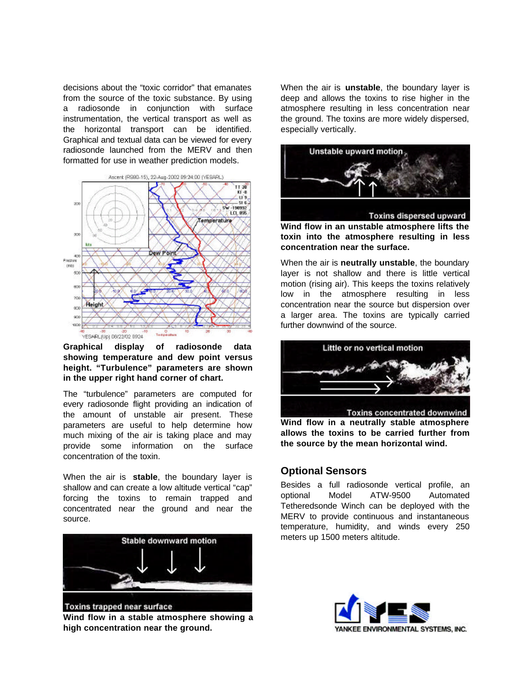decisions about the "toxic corridor" that emanates from the source of the toxic substance. By using a radiosonde in conjunction with surface instrumentation, the vertical transport as well as the horizontal transport can be identified. Graphical and textual data can be viewed for every radiosonde launched from the MERV and then formatted for use in weather prediction models.



#### **Graphical display of radiosonde data showing temperature and dew point versus height. "Turbulence" parameters are shown in the upper right hand corner of chart.**

The "turbulence" parameters are computed for every radiosonde flight providing an indication of the amount of unstable air present. These parameters are useful to help determine how much mixing of the air is taking place and may provide some information on the surface concentration of the toxin.

When the air is **stable**, the boundary layer is shallow and can create a low altitude vertical "cap" forcing the toxins to remain trapped and concentrated near the ground and near the source.



**Wind flow in a stable atmosphere showing a high concentration near the ground.**

When the air is **unstable**, the boundary layer is deep and allows the toxins to rise higher in the atmosphere resulting in less concentration near the ground. The toxins are more widely dispersed, especially vertically.



**Toxins dispersed upward** 

**Wind flow in an unstable atmosphere lifts the toxin into the atmosphere resulting in less concentration near the surface.**

When the air is **neutrally unstable**, the boundary layer is not shallow and there is little vertical motion (rising air). This keeps the toxins relatively low in the atmosphere resulting in less concentration near the source but dispersion over a larger area. The toxins are typically carried further downwind of the source.



**Wind flow in a neutrally stable atmosphere allows the toxins to be carried further from the source by the mean horizontal wind.**

## **Optional Sensors**

Besides a full radiosonde vertical profile, an optional Model ATW-9500 Automated Tetheredsonde Winch can be deployed with the MERV to provide continuous and instantaneous temperature, humidity, and winds every 250 meters up 1500 meters altitude.